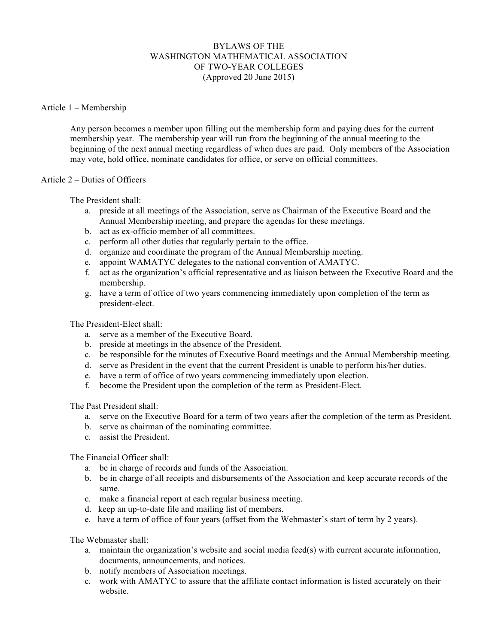# BYLAWS OF THE WASHINGTON MATHEMATICAL ASSOCIATION OF TWO-YEAR COLLEGES (Approved 20 June 2015)

## Article 1 – Membership

Any person becomes a member upon filling out the membership form and paying dues for the current membership year. The membership year will run from the beginning of the annual meeting to the beginning of the next annual meeting regardless of when dues are paid. Only members of the Association may vote, hold office, nominate candidates for office, or serve on official committees.

### Article 2 – Duties of Officers

The President shall:

- a. preside at all meetings of the Association, serve as Chairman of the Executive Board and the Annual Membership meeting, and prepare the agendas for these meetings.
- b. act as ex-officio member of all committees.
- c. perform all other duties that regularly pertain to the office.
- d. organize and coordinate the program of the Annual Membership meeting.
- e. appoint WAMATYC delegates to the national convention of AMATYC.
- f. act as the organization's official representative and as liaison between the Executive Board and the membership.
- g. have a term of office of two years commencing immediately upon completion of the term as president-elect.

The President-Elect shall:

- a. serve as a member of the Executive Board.
- b. preside at meetings in the absence of the President.
- c. be responsible for the minutes of Executive Board meetings and the Annual Membership meeting.
- d. serve as President in the event that the current President is unable to perform his/her duties.
- e. have a term of office of two years commencing immediately upon election.
- f. become the President upon the completion of the term as President-Elect.

The Past President shall:

- a. serve on the Executive Board for a term of two years after the completion of the term as President.
- b. serve as chairman of the nominating committee.
- c. assist the President.

The Financial Officer shall:

- a. be in charge of records and funds of the Association.
- b. be in charge of all receipts and disbursements of the Association and keep accurate records of the same.
- c. make a financial report at each regular business meeting.
- d. keep an up-to-date file and mailing list of members.
- e. have a term of office of four years (offset from the Webmaster's start of term by 2 years).

The Webmaster shall:

- a. maintain the organization's website and social media feed(s) with current accurate information, documents, announcements, and notices.
- b. notify members of Association meetings.
- c. work with AMATYC to assure that the affiliate contact information is listed accurately on their website.